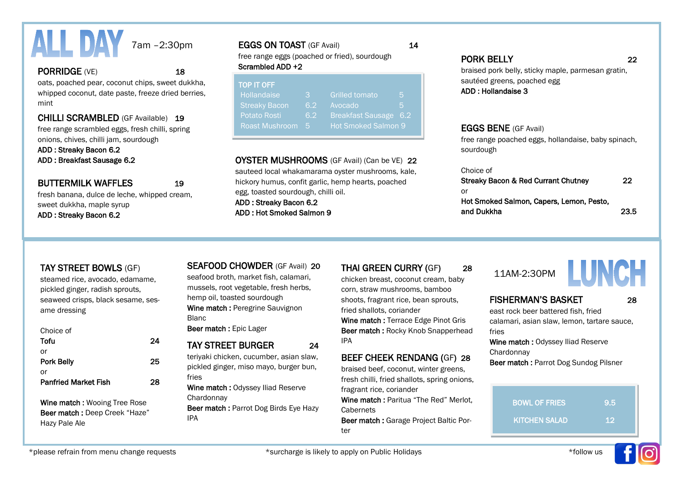

#### PORRIDGE (VE) 18

oats, poached pear, coconut chips, sweet dukkha, whipped coconut, date paste, freeze dried berries, mint

#### CHILLI SCRAMBLED (GF Available) 19

free range scrambled eggs, fresh chilli, spring onions, chives, chilli jam, sourdough

ADD : Streaky Bacon 6.2

ADD : Breakfast Sausage 6.2

#### BUTTERMILK WAFFLES 19

fresh banana, dulce de leche, whipped cream, sweet dukkha, maple syrup ADD : Streaky Bacon 6.2

#### EGGS ON TOAST (GF Avail) 14

free range eggs (poached or fried), sourdough Scrambled ADD +2

| <b>TOP IT OFF</b>    |     |                            |     |
|----------------------|-----|----------------------------|-----|
| Hollandaise          | З   | <b>Grilled tomato</b>      | 5   |
| <b>Streaky Bacon</b> | 6.2 | Avocado                    | 5   |
| Potato Rosti         | 6.2 | Breakfast Sausage          | 6.2 |
| Roast Mushroom       | -5  | <b>Hot Smoked Salmon 9</b> |     |

#### OYSTER MUSHROOMS (GF Avail) (Can be VE) 22

sauteed local whakamarama oyster mushrooms, kale, hickory humus, confit garlic, hemp hearts, poached egg, toasted sourdough, chilli oil. ADD : Streaky Bacon 6.2

ADD : Hot Smoked Salmon 9

#### PORK BELLY 22

braised pork belly, sticky maple, parmesan gratin, sautéed greens, poached egg ADD : Hollandaise 3

#### EGGS BENE (GF Avail)

free range poached eggs, hollandaise, baby spinach, sourdough

#### Choice of

| Streaky Bacon & Red Currant Chutney      | 22   |
|------------------------------------------|------|
| . or                                     |      |
| Hot Smoked Salmon, Capers, Lemon, Pesto, |      |
| and Dukkha                               | 23.5 |

steamed rice, avocado, edamame, pickled ginger, radish sprouts, seaweed crisps, black sesame, sesame dressing

### Choice of

| Tofu                        | 24 |
|-----------------------------|----|
| or                          |    |
| <b>Pork Belly</b>           | 25 |
| or                          |    |
| <b>Panfried Market Fish</b> | 28 |
|                             |    |

Wine match : Wooing Tree Rose Beer match : Deep Creek "Haze" Hazy Pale Ale

#### TAY STREET BOWLS (GF) SEAFOOD CHOWDER (GF Avail) 20 THAI GREEN CURRY (GF) 28 11AM-2:30PM<br>steamed rise, avasede, edemates seafood broth\_market fish\_calamari chicken breest\_sesseurt steam\_boby 11AM-2:30 SEAFOOD CHOWDER (GF Avail) 20

seafood broth, market fish, calamari, mussels, root vegetable, fresh herbs, hemp oil, toasted sourdough Wine match : Peregrine Sauvignon Blanc

Beer match : Epic Lager

#### TAY STREET BURGER 24 teriyaki chicken, cucumber, asian slaw, pickled ginger, miso mayo, burger bun,

fries Wine match : Odyssey Iliad Reserve

**Chardonnav** 

Beer match : Parrot Dog Birds Eye Hazy IPA

chicken breast, coconut cream, baby corn, straw mushrooms, bamboo shoots, fragrant rice, bean sprouts, fried shallots, coriander Wine match : Terrace Edge Pinot Gris Beer match : Rocky Knob Snapperhead IPA

### BEEF CHEEK RENDANG (GF) 28

braised beef, coconut, winter greens, fresh chilli, fried shallots, spring onions, fragrant rice, coriander

Wine match : Paritua "The Red" Merlot, **Cabernets** 

Beer match : Garage Project Baltic Porter



## LUNCH

#### FISHERMAN'S BASKET 28

east rock beer battered fish, fried calamari, asian slaw, lemon, tartare sauce, fries

Wine match : Odyssey Iliad Reserve **Chardonnav** 

Beer match : Parrot Dog Sundog Pilsner

| <b>BOWL OF FRIES</b> | 9.5 |
|----------------------|-----|
| <b>KITCHEN SALAD</b> | -12 |